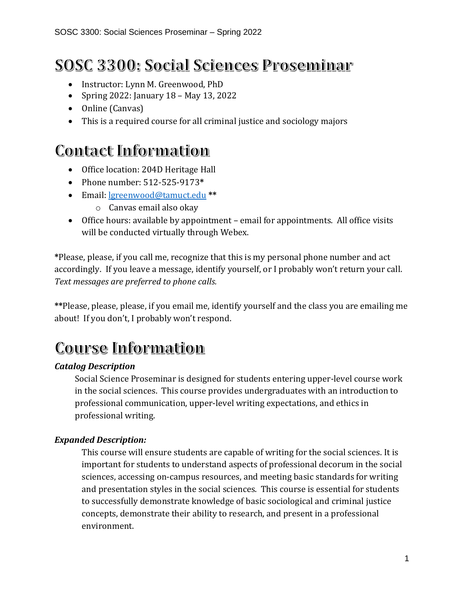# **SOSC 3300: Social Sciences Proseminar**

- Instructor: Lynn M. Greenwood, PhD
- Spring 2022: January 18 May 13, 2022
- Online (Canvas)
- This is a required course for all criminal justice and sociology majors

# **Contact Information**

- Office location: 204D Heritage Hall
- Phone number: 512-525-9173**\***
- Email: [lgreenwood@tamuct.edu](mailto:lgreenwood@tamuct.edu) **\*\***
	- o Canvas email also okay
- Office hours: available by appointment email for appointments. All office visits will be conducted virtually through Webex.

**\***Please, please, if you call me, recognize that this is my personal phone number and act accordingly. If you leave a message, identify yourself, or I probably won't return your call. *Text messages are preferred to phone calls.*

**\*\***Please, please, please, if you email me, identify yourself and the class you are emailing me about! If you don't, I probably won't respond.

# **Course Information**

## *Catalog Description*

Social Science Proseminar is designed for students entering upper-level course work in the social sciences. This course provides undergraduates with an introduction to professional communication, upper-level writing expectations, and ethics in professional writing.

## *Expanded Description:*

This course will ensure students are capable of writing for the social sciences. It is important for students to understand aspects of professional decorum in the social sciences, accessing on-campus resources, and meeting basic standards for writing and presentation styles in the social sciences. This course is essential for students to successfully demonstrate knowledge of basic sociological and criminal justice concepts, demonstrate their ability to research, and present in a professional environment.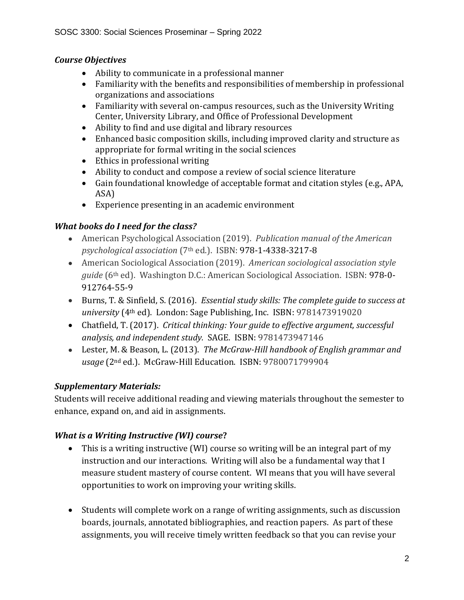#### *Course Objectives*

- Ability to communicate in a professional manner
- Familiarity with the benefits and responsibilities of membership in professional organizations and associations
- Familiarity with several on-campus resources, such as the University Writing Center, University Library, and Office of Professional Development
- Ability to find and use digital and library resources
- Enhanced basic composition skills, including improved clarity and structure as appropriate for formal writing in the social sciences
- Ethics in professional writing
- Ability to conduct and compose a review of social science literature
- Gain foundational knowledge of acceptable format and citation styles (e.g., APA, ASA)
- Experience presenting in an academic environment

## *What books do I need for the class?*

- American Psychological Association (2019). *Publication manual of the American psychological association* (7th ed.). ISBN: 978-1-4338-3217-8
- American Sociological Association (2019). *American sociological association style guide* (6th ed). Washington D.C.: American Sociological Association. ISBN: 978-0- 912764-55-9
- Burns, T. & Sinfield, S. (2016). *Essential study skills: The complete guide to success at university* (4th ed). London: Sage Publishing, Inc. ISBN: 9781473919020
- Chatfield, T. (2017). *Critical thinking: Your guide to effective argument, successful analysis, and independent study.* SAGE. ISBN: 9781473947146
- Lester, M. & Beason, L. (2013). *The McGraw-Hill handbook of English grammar and usage* (2nd ed.). McGraw-Hill Education. ISBN: 9780071799904

## *Supplementary Materials:*

Students will receive additional reading and viewing materials throughout the semester to enhance, expand on, and aid in assignments.

## *What is a Writing Instructive (WI) course***?**

- This is a writing instructive (WI) course so writing will be an integral part of my instruction and our interactions. Writing will also be a fundamental way that I measure student mastery of course content. WI means that you will have several opportunities to work on improving your writing skills.
- Students will complete work on a range of writing assignments, such as discussion boards, journals, annotated bibliographies, and reaction papers. As part of these assignments, you will receive timely written feedback so that you can revise your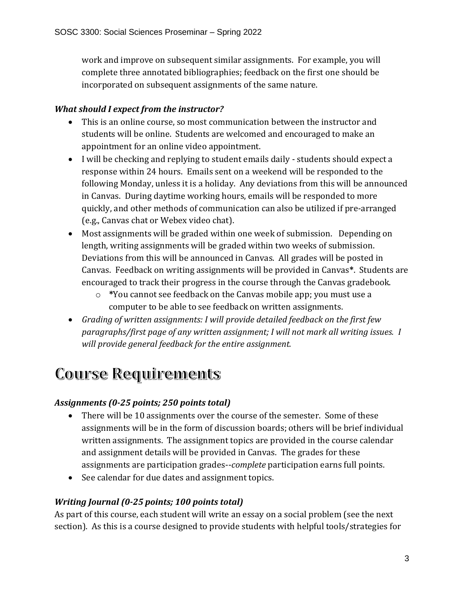work and improve on subsequent similar assignments. For example, you will complete three annotated bibliographies; feedback on the first one should be incorporated on subsequent assignments of the same nature.

## *What should I expect from the instructor?*

- This is an online course, so most communication between the instructor and students will be online. Students are welcomed and encouraged to make an appointment for an online video appointment.
- I will be checking and replying to student emails daily students should expect a response within 24 hours. Emails sent on a weekend will be responded to the following Monday, unless it is a holiday. Any deviations from this will be announced in Canvas. During daytime working hours, emails will be responded to more quickly, and other methods of communication can also be utilized if pre-arranged (e.g., Canvas chat or Webex video chat).
- Most assignments will be graded within one week of submission. Depending on length, writing assignments will be graded within two weeks of submission. Deviations from this will be announced in Canvas. All grades will be posted in Canvas. Feedback on writing assignments will be provided in Canvas**\***. Students are encouraged to track their progress in the course through the Canvas gradebook.
	- o **\***You cannot see feedback on the Canvas mobile app; you must use a computer to be able to see feedback on written assignments.
- *Grading of written assignments: I will provide detailed feedback on the first few paragraphs/first page of any written assignment; I will not mark all writing issues. I will provide general feedback for the entire assignment.*

# **Course Requirements**

## *Assignments (0-25 points; 250 points total)*

- There will be 10 assignments over the course of the semester. Some of these assignments will be in the form of discussion boards; others will be brief individual written assignments. The assignment topics are provided in the course calendar and assignment details will be provided in Canvas. The grades for these assignments are participation grades--*complete* participation earns full points.
- See calendar for due dates and assignment topics.

#### *Writing Journal (0-25 points; 100 points total)*

As part of this course, each student will write an essay on a social problem (see the next section). As this is a course designed to provide students with helpful tools/strategies for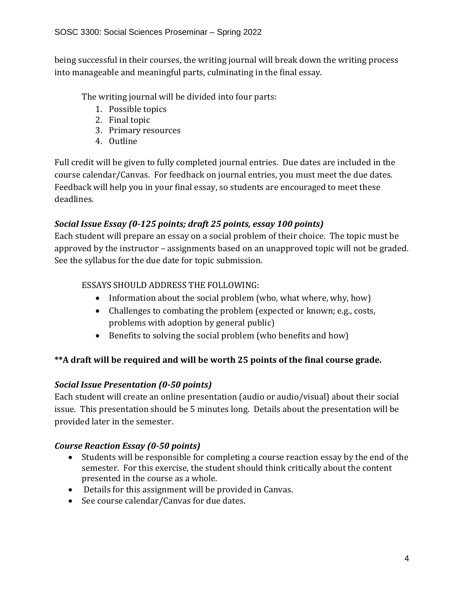being successful in their courses, the writing journal will break down the writing process into manageable and meaningful parts, culminating in the final essay.

The writing journal will be divided into four parts:

- 1. Possible topics
- 2. Final topic
- 3. Primary resources
- 4. Outline

Full credit will be given to fully completed journal entries. Due dates are included in the course calendar/Canvas. For feedback on journal entries, you must meet the due dates. Feedback will help you in your final essay, so students are encouraged to meet these deadlines.

# *Social Issue Essay (0-125 points; draft 25 points, essay 100 points)*

Each student will prepare an essay on a social problem of their choice. The topic must be approved by the instructor – assignments based on an unapproved topic will not be graded. See the syllabus for the due date for topic submission.

#### ESSAYS SHOULD ADDRESS THE FOLLOWING:

- Information about the social problem (who, what where, why, how)
- Challenges to combating the problem (expected or known; e.g., costs, problems with adoption by general public)
- Benefits to solving the social problem (who benefits and how)

# **\*\*A draft will be required and will be worth 25 points of the final course grade.**

## *Social Issue Presentation (0-50 points)*

Each student will create an online presentation (audio or audio/visual) about their social issue. This presentation should be 5 minutes long. Details about the presentation will be provided later in the semester.

## *Course Reaction Essay (0-50 points)*

- Students will be responsible for completing a course reaction essay by the end of the semester. For this exercise, the student should think critically about the content presented in the course as a whole.
- Details for this assignment will be provided in Canvas.
- See course calendar/Canvas for due dates.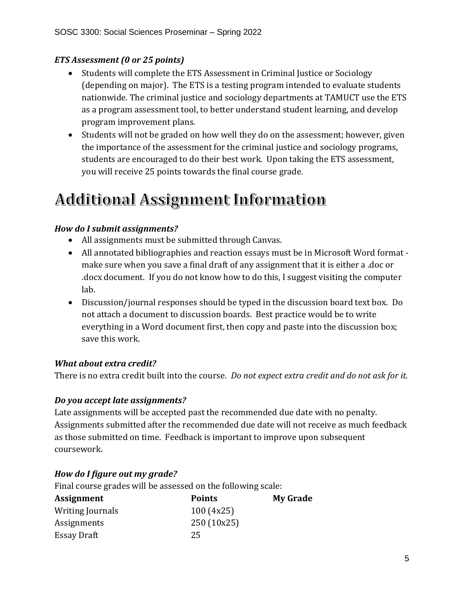#### *ETS Assessment (0 or 25 points)*

- Students will complete the ETS Assessment in Criminal Justice or Sociology (depending on major). The ETS is a testing program intended to evaluate students nationwide. The criminal justice and sociology departments at TAMUCT use the ETS as a program assessment tool, to better understand student learning, and develop program improvement plans.
- Students will not be graded on how well they do on the assessment; however, given the importance of the assessment for the criminal justice and sociology programs, students are encouraged to do their best work. Upon taking the ETS assessment, you will receive 25 points towards the final course grade.

# **Additional Assignment Information**

#### *How do I submit assignments?*

- All assignments must be submitted through Canvas.
- All annotated bibliographies and reaction essays must be in Microsoft Word format make sure when you save a final draft of any assignment that it is either a .doc or .docx document. If you do not know how to do this, I suggest visiting the computer lab.
- Discussion/journal responses should be typed in the discussion board text box. Do not attach a document to discussion boards. Best practice would be to write everything in a Word document first, then copy and paste into the discussion box; save this work.

#### *What about extra credit?*

There is no extra credit built into the course. *Do not expect extra credit and do not ask for it.* 

#### *Do you accept late assignments?*

Late assignments will be accepted past the recommended due date with no penalty. Assignments submitted after the recommended due date will not receive as much feedback as those submitted on time. Feedback is important to improve upon subsequent coursework.

## *How do I figure out my grade?*

Final course grades will be assessed on the following scale:

| <b>Points</b> | <b>My Grade</b> |
|---------------|-----------------|
| 100(4x25)     |                 |
| 250 (10x25)   |                 |
| 25            |                 |
|               |                 |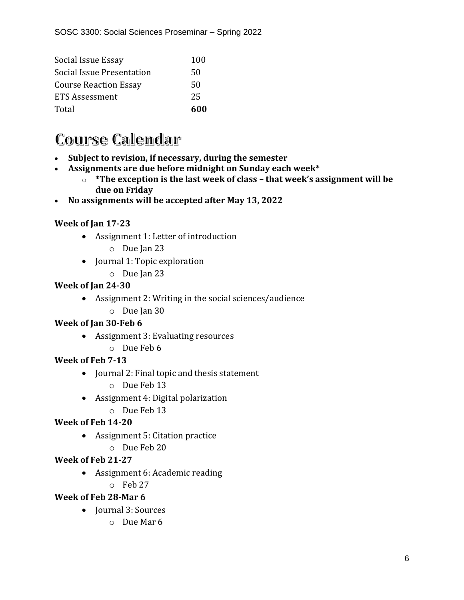| Social Issue Essay               | 100 |
|----------------------------------|-----|
| <b>Social Issue Presentation</b> | 50  |
| <b>Course Reaction Essay</b>     | 50  |
| ETS Assessment                   | 25  |
| Total                            | 600 |

# **Course Calendar**

- **Subject to revision, if necessary, during the semester**
- **Assignments are due before midnight on Sunday each week\***
	- o **\*The exception is the last week of class – that week's assignment will be due on Friday**
- **No assignments will be accepted after May 13, 2022**

## **Week of Jan 17-23**

- Assignment 1: Letter of introduction
	- o Due Jan 23
- Journal 1: Topic exploration
	- o Due Jan 23

## **Week of Jan 24-30**

- Assignment 2: Writing in the social sciences/audience
	- o Due Jan 30

## **Week of Jan 30-Feb 6**

- Assignment 3: Evaluating resources
	- o Due Feb 6

# **Week of Feb 7-13**

- Journal 2: Final topic and thesis statement o Due Feb 13
- Assignment 4: Digital polarization
	- o Due Feb 13

## **Week of Feb 14-20**

- Assignment 5: Citation practice
	- o Due Feb 20

# **Week of Feb 21-27**

- Assignment 6: Academic reading
- o Feb 27

## **Week of Feb 28-Mar 6**

- Journal 3: Sources
	- o Due Mar 6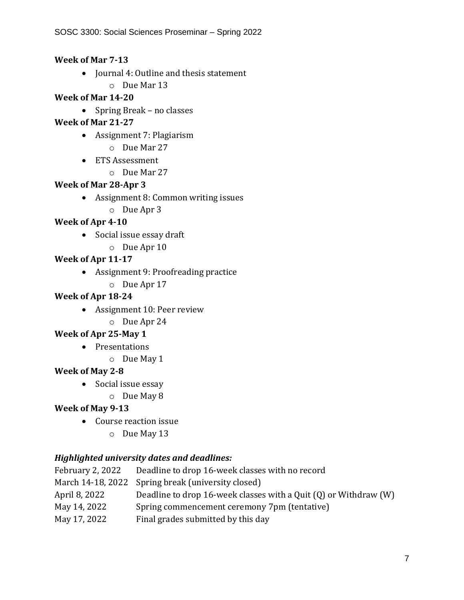#### **Week of Mar 7-13**

- Journal 4: Outline and thesis statement
	- o Due Mar 13

#### **Week of Mar 14-20**

• Spring Break – no classes

## **Week of Mar 21-27**

- Assignment 7: Plagiarism o Due Mar 27
- ETS Assessment
	- o Due Mar 27

## **Week of Mar 28-Apr 3**

- Assignment 8: Common writing issues
	- o Due Apr 3

# **Week of Apr 4-10**

- Social issue essay draft
	- o Due Apr 10

# **Week of Apr 11-17**

- Assignment 9: Proofreading practice
	- o Due Apr 17

## **Week of Apr 18-24**

- Assignment 10: Peer review
	- o Due Apr 24

## **Week of Apr 25-May 1**

- Presentations
	- o Due May 1

## **Week of May 2-8**

- Social issue essay
	- o Due May 8

## **Week of May 9-13**

- Course reaction issue
	- o Due May 13

## *Highlighted university dates and deadlines:*

| February 2, 2022 | Deadline to drop 16-week classes with no record                      |
|------------------|----------------------------------------------------------------------|
|                  | March 14-18, 2022 Spring break (university closed)                   |
| April 8, 2022    | Deadline to drop 16-week classes with a Quit $(Q)$ or Withdraw $(W)$ |
| May 14, 2022     | Spring commencement ceremony 7pm (tentative)                         |
| May 17, 2022     | Final grades submitted by this day                                   |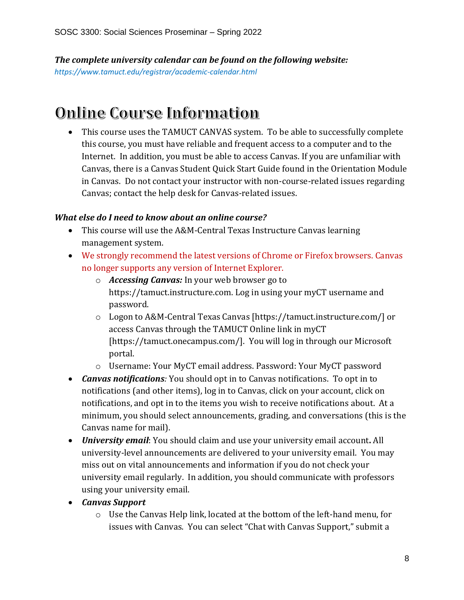*The complete university calendar can be found on the following website: https://www.tamuct.edu/registrar/academic-calendar.html*

# **Online Course Information**

• This course uses the TAMUCT CANVAS system. To be able to successfully complete this course, you must have reliable and frequent access to a computer and to the Internet. In addition, you must be able to access Canvas. If you are unfamiliar with Canvas, there is a Canvas Student Quick Start Guide found in the Orientation Module in Canvas. Do not contact your instructor with non-course-related issues regarding Canvas; contact the help desk for Canvas-related issues.

#### *What else do I need to know about an online course?*

- This course will use the A&M-Central Texas Instructure Canvas learning management system.
- We strongly recommend the latest versions of Chrome or Firefox browsers. Canvas no longer supports any version of Internet Explorer.
	- o *Accessing Canvas:* In your web browser go to https://tamuct.instructure.com. Log in using your myCT username and password.
	- o Logon to A&M-Central Texas Canvas [https://tamuct.instructure.com/] or access Canvas through the TAMUCT Online link in myCT [https://tamuct.onecampus.com/]. You will log in through our Microsoft portal.
	- o Username: Your MyCT email address. Password: Your MyCT password
- *Canvas notifications:* You should opt in to Canvas notifications. To opt in to notifications (and other items), log in to Canvas, click on your account, click on notifications, and opt in to the items you wish to receive notifications about. At a minimum, you should select announcements, grading, and conversations (this is the Canvas name for mail).
- *University email*: You should claim and use your university email account**.** All university-level announcements are delivered to your university email. You may miss out on vital announcements and information if you do not check your university email regularly. In addition, you should communicate with professors using your university email.
- *Canvas Support*
	- o Use the Canvas Help link, located at the bottom of the left-hand menu, for issues with Canvas. You can select "Chat with Canvas Support," submit a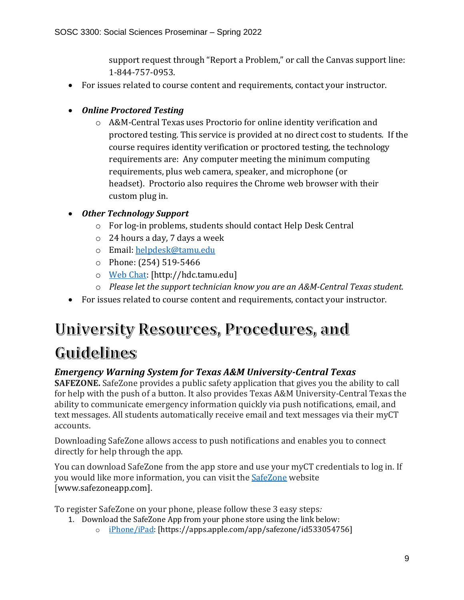support request through "Report a Problem," or call the Canvas support line: 1-844-757-0953.

- For issues related to course content and requirements, contact your instructor.
- *Online Proctored Testing* 
	- o A&M-Central Texas uses Proctorio for online identity verification and proctored testing. This service is provided at no direct cost to students. If the course requires identity verification or proctored testing, the technology requirements are: Any computer meeting the minimum computing requirements, plus web camera, speaker, and microphone (or headset). Proctorio also requires the Chrome web browser with their custom plug in.
- *Other Technology Support*
	- o For log-in problems, students should contact Help Desk Central
	- o 24 hours a day, 7 days a week
	- o Email: [helpdesk@tamu.edu](mailto:helpdesk@tamu.edu)
	- o Phone: (254) 519-5466
	- o [Web Chat:](http://hdc.tamu.edu/) [http://hdc.tamu.edu]
	- o *Please let the support technician know you are an A&M-Central Texas student.*
- For issues related to course content and requirements, contact your instructor.

# University Resources, Procedures, and Guidelines

# *Emergency Warning System for Texas A&M University-Central Texas*

**SAFEZONE.** SafeZone provides a public safety application that gives you the ability to call for help with the push of a button. It also provides Texas A&M University-Central Texas the ability to communicate emergency information quickly via push notifications, email, and text messages. All students automatically receive email and text messages via their myCT accounts.

Downloading SafeZone allows access to push notifications and enables you to connect directly for help through the app.

You can download SafeZone from the app store and use your myCT credentials to log in. If you would like more information, you can visit the **[SafeZone](http://www.safezoneapp.com/)** website [www.safezoneapp.com].

To register SafeZone on your phone, please follow these 3 easy steps*:*

- 1. Download the SafeZone App from your phone store using the link below:
	- o [iPhone/iPad:](https://apps.apple.com/app/safezone/id533054756) [https://apps.apple.com/app/safezone/id533054756]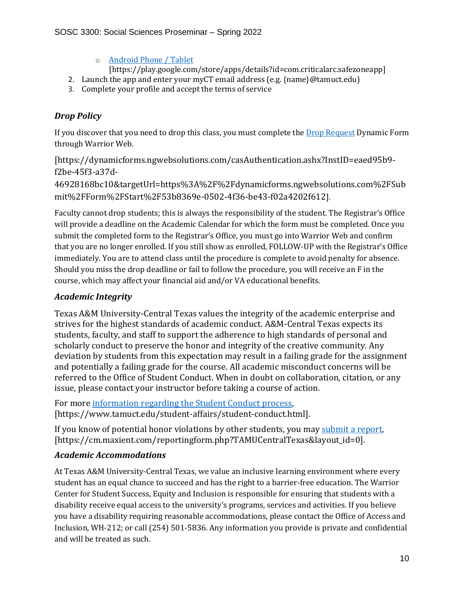- o [Android Phone / Tablet](https://play.google.com/store/apps/details?id=com.criticalarc.safezoneapp)
- [https://play.google.com/store/apps/details?id=com.criticalarc.safezoneapp]
- 2. Launch the app and enter your myCT email address (e.g. {name}@tamuct.edu)
- 3. Complete your profile and accept the terms of service

#### *Drop Policy*

If you discover that you need to drop this class, you must complete the [Drop Request](https://dynamicforms.ngwebsolutions.com/casAuthentication.ashx?InstID=eaed95b9-f2be-45f3-a37d-46928168bc10&targetUrl=https%3A%2F%2Fdynamicforms.ngwebsolutions.com%2FSubmit%2FForm%2FStart%2F53b8369e-0502-4f36-be43-f02a4202f612) Dynamic Form through Warrior Web.

[https://dynamicforms.ngwebsolutions.com/casAuthentication.ashx?InstID=eaed95b9 f2be-45f3-a37d-

46928168bc10&targetUrl=https%3A%2F%2Fdynamicforms.ngwebsolutions.com%2FSub mit%2FForm%2FStart%2F53b8369e-0502-4f36-be43-f02a4202f612].

Faculty cannot drop students; this is always the responsibility of the student. The Registrar's Office will provide a deadline on the Academic Calendar for which the form must be completed. Once you submit the completed form to the Registrar's Office, you must go into Warrior Web and confirm that you are no longer enrolled. If you still show as enrolled, FOLLOW-UP with the Registrar's Office immediately. You are to attend class until the procedure is complete to avoid penalty for absence. Should you miss the drop deadline or fail to follow the procedure, you will receive an F in the course, which may affect your financial aid and/or VA educational benefits.

#### *Academic Integrity*

Texas A&M University-Central Texas values the integrity of the academic enterprise and strives for the highest standards of academic conduct. A&M-Central Texas expects its students, faculty, and staff to support the adherence to high standards of personal and scholarly conduct to preserve the honor and integrity of the creative community. Any deviation by students from this expectation may result in a failing grade for the assignment and potentially a failing grade for the course. All academic misconduct concerns will be referred to the Office of Student Conduct. When in doubt on collaboration, citation, or any issue, please contact your instructor before taking a course of action.

For more [information](https://nam04.safelinks.protection.outlook.com/?url=https%3A%2F%2Fwww.tamuct.edu%2Fstudent-affairs%2Fstudent-conduct.html&data=04%7C01%7Clisa.bunkowski%40tamuct.edu%7Ccfb6e486f24745f53e1a08d910055cb2%7C9eed4e3000f744849ff193ad8005acec%7C0%7C0%7C637558437485252160%7CUnknown%7CTWFpbGZsb3d8eyJWIjoiMC4wLjAwMDAiLCJQIjoiV2luMzIiLCJBTiI6Ik1haWwiLCJXVCI6Mn0%3D%7C1000&sdata=yjftDEVHvLX%2FhM%2FcFU0B99krV1RgEWR%2BJ%2BhvtoR6TYk%3D&reserved=0) regarding the Student Conduct process, [https://www.tamuct.edu/student-affairs/student-conduct.html].

If you know of potential honor violations by other students, you may [submit](https://nam04.safelinks.protection.outlook.com/?url=https%3A%2F%2Fcm.maxient.com%2Freportingform.php%3FTAMUCentralTexas%26layout_id%3D0&data=04%7C01%7Clisa.bunkowski%40tamuct.edu%7Ccfb6e486f24745f53e1a08d910055cb2%7C9eed4e3000f744849ff193ad8005acec%7C0%7C0%7C637558437485262157%7CUnknown%7CTWFpbGZsb3d8eyJWIjoiMC4wLjAwMDAiLCJQIjoiV2luMzIiLCJBTiI6Ik1haWwiLCJXVCI6Mn0%3D%7C1000&sdata=CXGkOa6uPDPX1IMZ87z3aZDq2n91xfHKu4MMS43Ejjk%3D&reserved=0) a report, [https://cm.maxient.com/reportingform.php?TAMUCentralTexas&layout\_id=0].

#### *Academic Accommodations*

At Texas A&M University-Central Texas, we value an inclusive learning environment where every student has an equal chance to succeed and has the right to a barrier-free education. The Warrior Center for Student Success, Equity and Inclusion is responsible for ensuring that students with a disability receive equal access to the university's programs, services and activities. If you believe you have a disability requiring reasonable accommodations, please contact the Office of Access and Inclusion, WH-212; or call (254) 501-5836. Any information you provide is private and confidential and will be treated as such.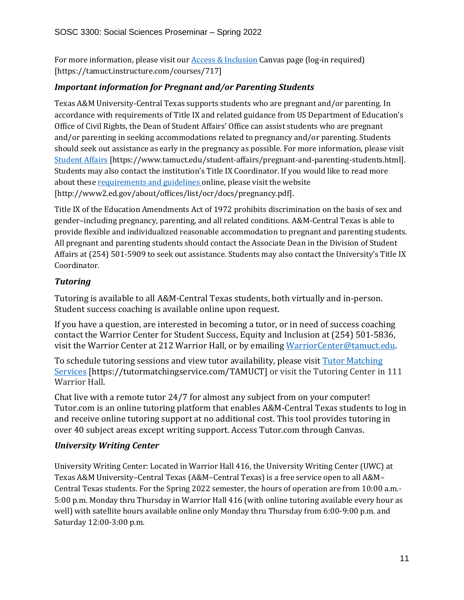For more information, please visit ou[r Access & Inclusion](https://tamuct.instructure.com/courses/717) Canvas page (log-in required) [https://tamuct.instructure.com/courses/717]

#### *Important information for Pregnant and/or Parenting Students*

Texas A&M University-Central Texas supports students who are pregnant and/or parenting. In accordance with requirements of Title IX and related guidance from US Department of Education's Office of Civil Rights, the Dean of Student Affairs' Office can assist students who are pregnant and/or parenting in seeking accommodations related to pregnancy and/or parenting. Students should seek out assistance as early in the pregnancy as possible. For more information, please visit [Student Affairs](https://www.tamuct.edu/student-affairs/pregnant-and-parenting-students.html) [https://www.tamuct.edu/student-affairs/pregnant-and-parenting-students.html]. Students may also contact the institution's Title IX Coordinator. If you would like to read more about these [requirements and guidelines](http://www2.ed.gov/about/offices/list/ocr/docs/pregnancy.pdf) online, please visit the website [http://www2.ed.gov/about/offices/list/ocr/docs/pregnancy.pdf].

Title IX of the Education Amendments Act of 1972 prohibits discrimination on the basis of sex and gender–including pregnancy, parenting, and all related conditions. A&M-Central Texas is able to provide flexible and individualized reasonable accommodation to pregnant and parenting students. All pregnant and parenting students should contact the Associate Dean in the Division of Student Affairs at (254) 501-5909 to seek out assistance. Students may also contact the University's Title IX Coordinator.

#### *Tutoring*

Tutoring is available to all A&M-Central Texas students, both virtually and in-person. Student success coaching is available online upon request.

If you have a question, are interested in becoming a tutor, or in need of success coaching contact the Warrior Center for Student Success, Equity and Inclusion at (254) 501-5836, visit the Warrior Center at 212 Warrior Hall, or by emailing [WarriorCenter@tamuct.edu.](mailto:WarriorCenter@tamuct.edu)

To schedule tutoring sessions and view tutor availability, please visit Tutor [Matching](https://tutormatchingservice.com/TAMUCT) [Services](https://tutormatchingservice.com/TAMUCT) [https://tutormatchingservice.com/TAMUCT] or visit the Tutoring Center in 111 Warrior Hall.

Chat live with a remote tutor 24/7 for almost any subject from on your computer! Tutor.com is an online tutoring platform that enables A&M-Central Texas students to log in and receive online tutoring support at no additional cost. This tool provides tutoring in over 40 subject areas except writing support. Access Tutor.com through Canvas.

#### *University Writing Center*

University Writing Center: Located in Warrior Hall 416, the University Writing Center (UWC) at Texas A&M University–Central Texas (A&M–Central Texas) is a free service open to all A&M– Central Texas students. For the Spring 2022 semester, the hours of operation are from 10:00 a.m.- 5:00 p.m. Monday thru Thursday in Warrior Hall 416 (with online tutoring available every hour as well) with satellite hours available online only Monday thru Thursday from 6:00-9:00 p.m. and Saturday 12:00-3:00 p.m.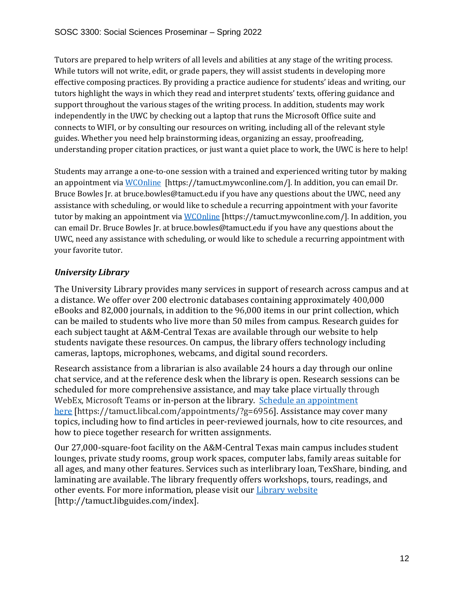Tutors are prepared to help writers of all levels and abilities at any stage of the writing process. While tutors will not write, edit, or grade papers, they will assist students in developing more effective composing practices. By providing a practice audience for students' ideas and writing, our tutors highlight the ways in which they read and interpret students' texts, offering guidance and support throughout the various stages of the writing process. In addition, students may work independently in the UWC by checking out a laptop that runs the Microsoft Office suite and connects to WIFI, or by consulting our resources on writing, including all of the relevant style guides. Whether you need help brainstorming ideas, organizing an essay, proofreading, understanding proper citation practices, or just want a quiet place to work, the UWC is here to help!

Students may arrange a one-to-one session with a trained and experienced writing tutor by making an appointment vi[a WCOnline](https://tamuct.mywconline.com/) [https://tamuct.mywconline.com/]. In addition, you can email Dr. Bruce Bowles Jr. at bruce.bowles@tamuct.edu if you have any questions about the UWC, need any assistance with scheduling, or would like to schedule a recurring appointment with your favorite tutor by making an appointment via [WCOnline](https://tamuct.mywconline.com/) [https://tamuct.mywconline.com/]. In addition, you can email Dr. Bruce Bowles Jr. at bruce.bowles@tamuct.edu if you have any questions about the UWC, need any assistance with scheduling, or would like to schedule a recurring appointment with your favorite tutor.

## *University Library*

The University Library provides many services in support of research across campus and at a distance. We offer over 200 electronic databases containing approximately 400,000 eBooks and 82,000 journals, in addition to the 96,000 items in our print collection, which can be mailed to students who live more than 50 miles from campus. Research guides for each subject taught at A&M-Central Texas are available through our website to help students navigate these resources. On campus, the library offers technology including cameras, laptops, microphones, webcams, and digital sound recorders.

Research assistance from a librarian is also available 24 hours a day through our online chat service, and at the reference desk when the library is open. Research sessions can be scheduled for more comprehensive assistance, and may take place virtually through WebEx, Microsoft Teams or in-person at the library. Schedule an [appointment](https://nam04.safelinks.protection.outlook.com/?url=https%3A%2F%2Ftamuct.libcal.com%2Fappointments%2F%3Fg%3D6956&data=04%7C01%7Clisa.bunkowski%40tamuct.edu%7Cde2c07d9f5804f09518008d9ab7ba6ff%7C9eed4e3000f744849ff193ad8005acec%7C0%7C0%7C637729369835011558%7CUnknown%7CTWFpbGZsb3d8eyJWIjoiMC4wLjAwMDAiLCJQIjoiV2luMzIiLCJBTiI6Ik1haWwiLCJXVCI6Mn0%3D%7C3000&sdata=KhtjgRSAw9aq%2FoBsB6wyu8b7PSuGN5EGPypzr3Ty2No%3D&reserved=0) [here](https://nam04.safelinks.protection.outlook.com/?url=https%3A%2F%2Ftamuct.libcal.com%2Fappointments%2F%3Fg%3D6956&data=04%7C01%7Clisa.bunkowski%40tamuct.edu%7Cde2c07d9f5804f09518008d9ab7ba6ff%7C9eed4e3000f744849ff193ad8005acec%7C0%7C0%7C637729369835011558%7CUnknown%7CTWFpbGZsb3d8eyJWIjoiMC4wLjAwMDAiLCJQIjoiV2luMzIiLCJBTiI6Ik1haWwiLCJXVCI6Mn0%3D%7C3000&sdata=KhtjgRSAw9aq%2FoBsB6wyu8b7PSuGN5EGPypzr3Ty2No%3D&reserved=0) [https://tamuct.libcal.com/appointments/?g=6956]. Assistance may cover many topics, including how to find articles in peer-reviewed journals, how to cite resources, and how to piece together research for written assignments.

Our 27,000-square-foot facility on the A&M-Central Texas main campus includes student lounges, private study rooms, group work spaces, computer labs, family areas suitable for all ages, and many other features. Services such as interlibrary loan, TexShare, binding, and laminating are available. The library frequently offers workshops, tours, readings, and other events. For more information, please visit our **Library [website](https://nam04.safelinks.protection.outlook.com/?url=https%3A%2F%2Ftamuct.libguides.com%2Findex&data=04%7C01%7Clisa.bunkowski%40tamuct.edu%7C7d8489e8839a4915335f08d916f067f2%7C9eed4e3000f744849ff193ad8005acec%7C0%7C0%7C637566044056484222%7CUnknown%7CTWFpbGZsb3d8eyJWIjoiMC4wLjAwMDAiLCJQIjoiV2luMzIiLCJBTiI6Ik1haWwiLCJXVCI6Mn0%3D%7C1000&sdata=2R755V6rcIyedGrd4Os5rkgn1PvhHKU3kUV1vBKiHFo%3D&reserved=0)** [http://tamuct.libguides.com/index].